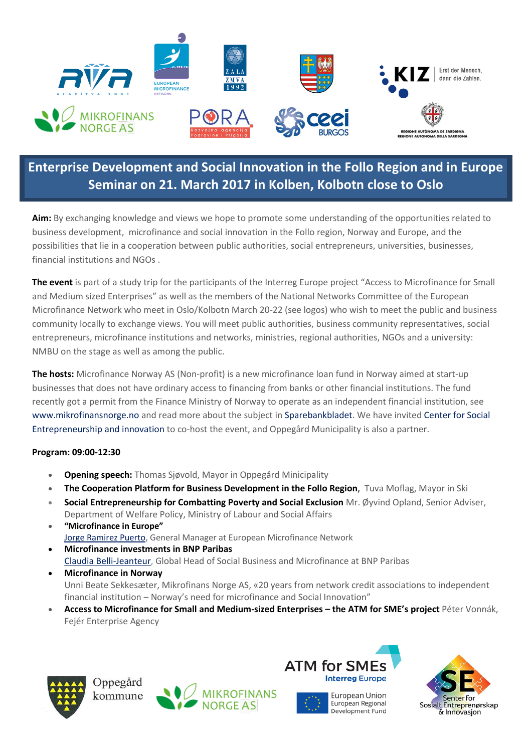

## **Enterprise Development and Social Innovation in the Follo Region and in Europe Seminar on 21. March 2017 in Kolben, Kolbotn close to Oslo**

**Aim:** By exchanging knowledge and views we hope to promote some understanding of the opportunities related to business development, microfinance and social innovation in the Follo region, Norway and Europe, and the possibilities that lie in a cooperation between public authorities, social entrepreneurs, universities, businesses, financial institutions and NGOs .

**The event** is part of a study trip for the participants of the Interreg Europe project "Access to Microfinance for Small and Medium sized Enterprises" as well as the members of the National Networks Committee of the European Microfinance Network who meet in Oslo/Kolbotn March 20-22 (see logos) who wish to meet the public and business community locally to exchange views. You will meet public authorities, business community representatives, social entrepreneurs, microfinance institutions and networks, ministries, regional authorities, NGOs and a university: NMBU on the stage as well as among the public.

**The hosts:** Microfinance Norway AS (Non-profit) is a new microfinance loan fund in Norway aimed at start-up businesses that does not have ordinary access to financing from banks or other financial institutions. The fund recently got a permit from the Finance Ministry of Norway to operate as an independent financial institution, see [www.mikrofinansnorge.no](http://www.mikrofinansnorge.no/) and read more about the subject in [Sparebankbladet.](http://www.sparebankbladet.no/fb/nr1-2017/#42) We have invite[d Center for Social](http://www.sosialinnovasjon.com/)  [Entrepreneurship and innovation](http://www.sosialinnovasjon.com/) to co-host the event, and Oppegård Municipality is also a partner.

## **Program: 09:00-12:30**

- **Opening speech:** Thomas Sjøvold, Mayor in Oppegård Minicipality
- **The Cooperation Platform for Business Development in the Follo Region**, Tuva Moflag, Mayor in Ski
- **Social Entrepreneurship for Combatting Poverty and Social Exclusion** Mr. Øyvind Opland, Senior Adviser, Department of Welfare Policy, Ministry of Labour and Social Affairs
- **"Microfinance in Europe"** [Jorge Ramirez Puerto,](http://www.european-microfinance.org/index.php?rub=emn-aisbl&pg=the-team&spg=jorge-ramirez) General Manager at European Microfinance Network
- **Microfinance investments in BNP Paribas** [Claudia Belli-Jeanteur,](http://www.mikrofinansnorge.no/?page_id=10368) Global Head of Social Business and Microfinance at BNP Paribas
- **Microfinance in Norway** Unni Beate Sekkesæter, Mikrofinans Norge AS, «20 years from network credit associations to independent financial institution – Norway's need for microfinance and Social Innovation"
- **Access to Microfinance for Small and Medium-sized Enterprises – the ATM for SME's project** Péter Vonnák, Fejér Enterprise Agency